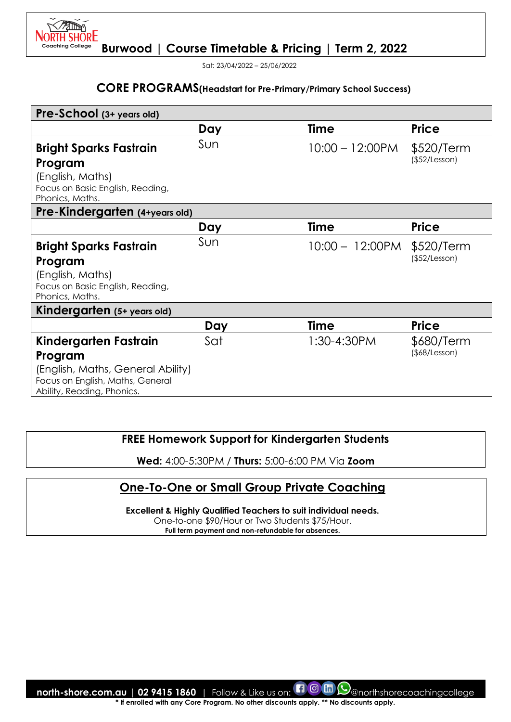

Sat: 23/04/2022 – 25/06/2022

## **CORE PROGRAMS(Headstart for Pre-Primary/Primary School Success)**

| Pre-School (3+ years old)                           |     |                    |               |
|-----------------------------------------------------|-----|--------------------|---------------|
|                                                     | Day | Time               | <b>Price</b>  |
| <b>Bright Sparks Fastrain</b>                       | Sun | $10:00 - 12:00$ PM | \$520/Term    |
| Program                                             |     |                    | (\$52/Lesson) |
| (English, Maths)                                    |     |                    |               |
| Focus on Basic English, Reading,<br>Phonics, Maths. |     |                    |               |
| Pre-Kindergarten (4+years old)                      |     |                    |               |
|                                                     | Day | Time               | <b>Price</b>  |
| <b>Bright Sparks Fastrain</b>                       | Sun | $10:00 - 12:00$ PM | \$520/Term    |
| Program                                             |     |                    | (\$52/Lesson) |
| (English, Maths)                                    |     |                    |               |
| Focus on Basic English, Reading,<br>Phonics, Maths. |     |                    |               |
| Kindergarten (5+ years old)                         |     |                    |               |
|                                                     | Day | <b>Time</b>        | <b>Price</b>  |
| Kindergarten Fastrain                               | Sat | $1:30 - 4:30 PM$   | \$680/Term    |
| Program                                             |     |                    | (\$8/Lesson)  |
| (English, Maths, General Ability)                   |     |                    |               |
| Focus on English, Maths, General                    |     |                    |               |
| Ability, Reading, Phonics.                          |     |                    |               |

## **FREE Homework Support for Kindergarten Students**

**Wed:** 4:00-5:30PM / **Thurs:** 5:00-6:00 PM Via **Zoom**

# **One-To-One or Small Group Private Coaching**

**Excellent & Highly Qualified Teachers to suit individual needs.** 

One-to-one \$90/Hour or Two Students \$75/Hour.

**Full term payment and non-refundable for absences.**

**north-shore.com.au | 02 9415 1860** | Follow & Like us on:  $\Box$  @ m  $\bigcirc$  @northshorecoachingcollege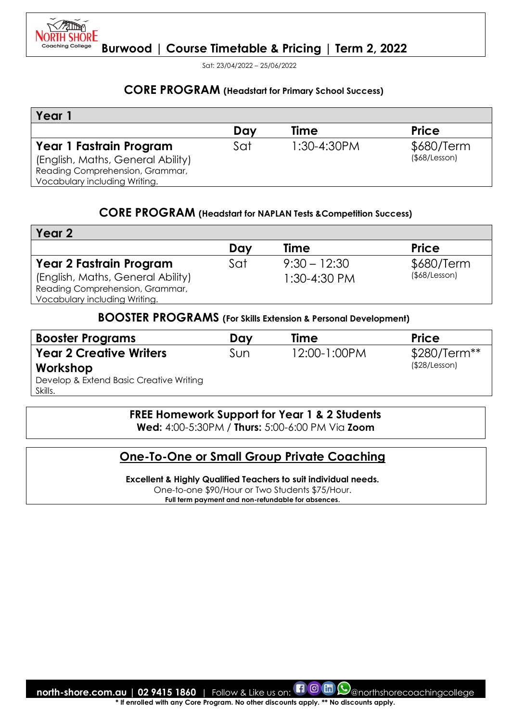

Sat: 23/04/2022 – 25/06/2022

#### **CORE PROGRAM (Headstart for Primary School Success)**

| Year                              |     |                  |                     |
|-----------------------------------|-----|------------------|---------------------|
|                                   | Day | <b>Time</b>      | <b>Price</b>        |
| Year 1 Fastrain Program           | Sat | $1:30 - 4:30 PM$ | \$680/Term          |
| (English, Maths, General Ability) |     |                  | $($ \$68/Lesson $)$ |
| Reading Comprehension, Grammar,   |     |                  |                     |
| Vocabulary including Writing.     |     |                  |                     |

### **CORE PROGRAM (Headstart for NAPLAN Tests &Competition Success)**

| Year <sub>2</sub>                 |     |                |                     |
|-----------------------------------|-----|----------------|---------------------|
|                                   | Dav | <b>Time</b>    | <b>Price</b>        |
| <b>Year 2 Fastrain Program</b>    | Sat | $9:30 - 12:30$ | \$680/Term          |
| (English, Maths, General Ability) |     | $1:30-4:30$ PM | $($ \$68/Lesson $)$ |
| Reading Comprehension, Grammar,   |     |                |                     |
| Vocabulary including Writing.     |     |                |                     |

#### **BOOSTER PROGRAMS (For Skills Extension & Personal Development)**

| <b>Booster Programs</b>                 | Day | Time         | <b>Price</b>  |
|-----------------------------------------|-----|--------------|---------------|
| <b>Year 2 Creative Writers</b>          | Sun | 12:00-1:00PM | $$280/Term**$ |
| Workshop                                |     |              | (\$28/Lesson) |
| Develop & Extend Basic Creative Writing |     |              |               |
| Skills.                                 |     |              |               |

#### **FREE Homework Support for Year 1 & 2 Students**

**Wed:** 4:00-5:30PM / **Thurs:** 5:00-6:00 PM Via **Zoom**

### **One-To-One or Small Group Private Coaching**

**Excellent & Highly Qualified Teachers to suit individual needs.**  One-to-one \$90/Hour or Two Students \$75/Hour.

**Full term payment and non-refundable for absences.**

**north-shore.com.au | 02 9415 1860** | Follow & Like us on:  $\Box$  @northshorecoachingcollege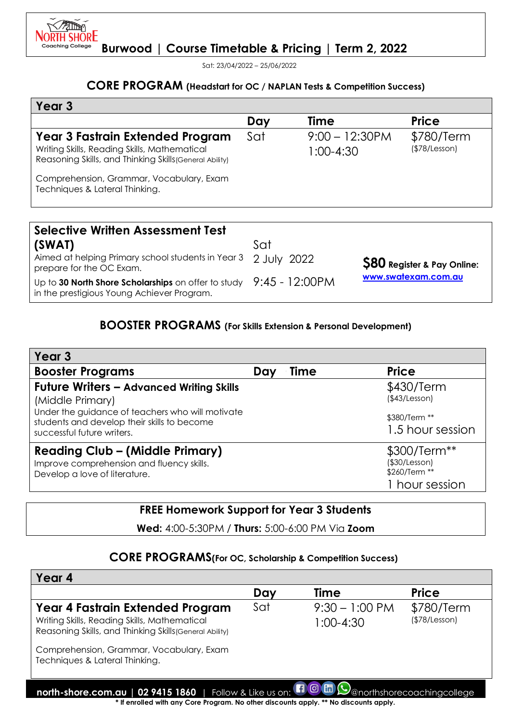

Sat: 23/04/2022 – 25/06/2022

# **CORE PROGRAM (Headstart for OC / NAPLAN Tests & Competition Success)**

| Year 3                                                                                                                                             |            |                                  |                             |
|----------------------------------------------------------------------------------------------------------------------------------------------------|------------|----------------------------------|-----------------------------|
|                                                                                                                                                    | Day        | Time                             | <b>Price</b>                |
| <b>Year 3 Fastrain Extended Program</b><br>Writing Skills, Reading Skills, Mathematical<br>Reasoning Skills, and Thinking Skills (General Ability) | Sat        | $9:00 - 12:30$ PM<br>$1:00-4:30$ | \$780/Term<br>(\$78/Lesson) |
| Comprehension, Grammar, Vocabulary, Exam<br>Techniques & Lateral Thinking.                                                                         |            |                                  |                             |
| <b>Selective Written Assessment Test</b>                                                                                                           |            |                                  |                             |
| $\sqrt{N}$                                                                                                                                         | $c \sim +$ |                                  |                             |

**(SWAT)**  Aimed at helping Primary school students in Year 3 2 July 2022 prepare for the OC Exam. Up to **30 North Shore Scholarships** on offer to study 9:45 - 12:00PM in the prestigious Young Achiever Program. Sat **\$80 Register & Pay Online: [www.swatexam.com.au](about:blank)**

## **BOOSTER PROGRAMS (For Skills Extension & Personal Development)**

| Year <sub>3</sub>                                                                                                             |             |                                                                        |
|-------------------------------------------------------------------------------------------------------------------------------|-------------|------------------------------------------------------------------------|
| <b>Booster Programs</b>                                                                                                       | Time<br>Day | <b>Price</b>                                                           |
| <b>Future Writers - Advanced Writing Skills</b><br>(Middle Primary)                                                           |             | \$430/Term<br>(\$43/Lesson)                                            |
| Under the guidance of teachers who will motivate<br>students and develop their skills to become<br>successful future writers. |             | \$380/Term **<br>1.5 hour session                                      |
| <b>Reading Club - (Middle Primary)</b><br>Improve comprehension and fluency skills.<br>Develop a love of literature.          |             | \$300/Term**<br>$($ \$30/Lesson $)$<br>\$260/Term **<br>1 hour session |

## **FREE Homework Support for Year 3 Students**

**Wed:** 4:00-5:30PM / **Thurs:** 5:00-6:00 PM Via **Zoom**

### **CORE PROGRAMS(For OC, Scholarship & Competition Success)**

| Year 4                                                                                                                                                                                                                    |     |                                       |                             |
|---------------------------------------------------------------------------------------------------------------------------------------------------------------------------------------------------------------------------|-----|---------------------------------------|-----------------------------|
|                                                                                                                                                                                                                           | Day | Time                                  | <b>Price</b>                |
| Year 4 Fastrain Extended Program<br>Writing Skills, Reading Skills, Mathematical<br>Reasoning Skills, and Thinking Skills (General Ability)<br>Comprehension, Grammar, Vocabulary, Exam<br>Techniques & Lateral Thinking. | Sat | $9:30 - 1:00 \text{ PM}$<br>1:00-4:30 | \$780/Term<br>(\$78/Lesson) |
| north-shore.com.au   02 9415 1860   Follow & Like us on: <b>1 0 m Q</b> anorthshorecoachingcollege                                                                                                                        |     |                                       |                             |
| * If enrolled with any Core Program. No other discounts apply. ** No discounts apply.                                                                                                                                     |     |                                       |                             |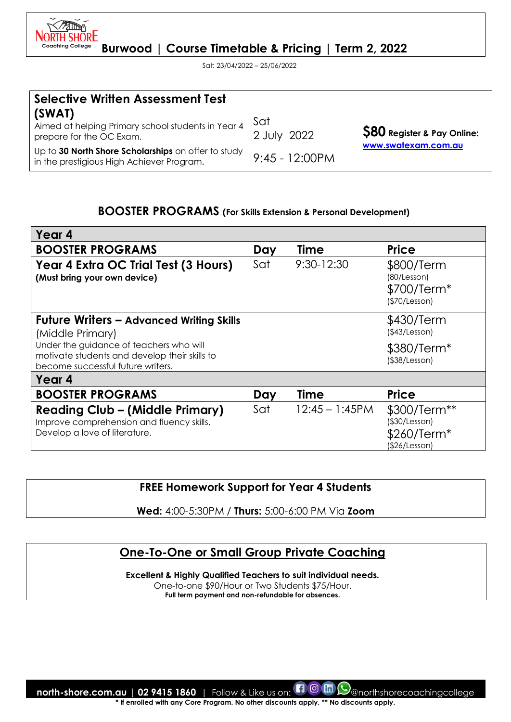

Sat: 23/04/2022 – 25/06/2022

| <b>Selective Written Assessment Test</b>                                                         |                    |                                        |
|--------------------------------------------------------------------------------------------------|--------------------|----------------------------------------|
| (SWAT)<br>Aimed at helping Primary school students in Year 4<br>prepare for the OC Exam.         | Sat<br>2 July 2022 | <b>\$80 Register &amp; Pay Online:</b> |
| Up to 30 North Shore Scholarships on offer to study<br>in the prestigious High Achiever Program. | $9:45 - 12:00PM$   | www.swatexam.com.au                    |

#### **BOOSTER PROGRAMS (For Skills Extension & Personal Development)**

| Year 4                                                                                                                        |     |                   |                                                               |
|-------------------------------------------------------------------------------------------------------------------------------|-----|-------------------|---------------------------------------------------------------|
| <b>BOOSTER PROGRAMS</b>                                                                                                       | Day | <b>Time</b>       | <b>Price</b>                                                  |
| Year 4 Extra OC Trial Test (3 Hours)<br>(Must bring your own device)                                                          | Sat | $9:30 - 12:30$    | \$800/Term<br>(80/Lesson)<br>\$700/Term*<br>(\$70/Lesson)     |
| <b>Future Writers – Advanced Writing Skills</b><br>(Middle Primary)                                                           |     |                   | \$430/Term<br>(\$43/Lesson)                                   |
| Under the guidance of teachers who will<br>motivate students and develop their skills to<br>become successful future writers. |     |                   | \$380/Term*<br>$($ \$38/Lesson $)$                            |
| Year 4                                                                                                                        |     |                   |                                                               |
| <b>BOOSTER PROGRAMS</b>                                                                                                       | Day | <b>Time</b>       | <b>Price</b>                                                  |
| <b>Reading Club - (Middle Primary)</b><br>Improve comprehension and fluency skills.<br>Develop a love of literature.          | Sat | $12:45 - 1:45$ PM | \$300/Term**<br>(\$30/Lesson)<br>\$260/Term*<br>(\$26/Lesson) |

**FREE Homework Support for Year 4 Students** 

**Wed:** 4:00-5:30PM / **Thurs:** 5:00-6:00 PM Via **Zoom**

# **One-To-One or Small Group Private Coaching**

**Excellent & Highly Qualified Teachers to suit individual needs.** 

One-to-one \$90/Hour or Two Students \$75/Hour.

**Full term payment and non-refundable for absences.**

**north-shore.com.au | 02 9415 1860** | Follow & Like us on:  $\Box$  @  $\Box$  @northshorecoachingcollege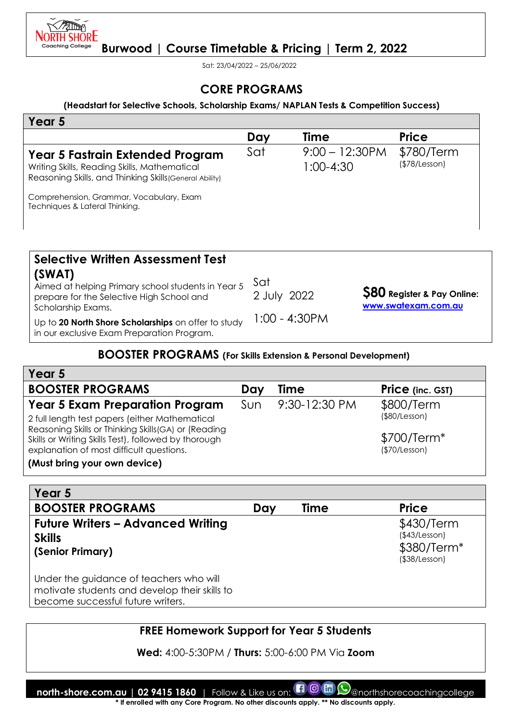

Sat: 23/04/2022 – 25/06/2022

## **CORE PROGRAMS**

#### **(Headstart for Selective Schools, Scholarship Exams/ NAPLAN Tests & Competition Success)**

| Year 5                                                                                                                                      |     |                                    |                             |
|---------------------------------------------------------------------------------------------------------------------------------------------|-----|------------------------------------|-----------------------------|
|                                                                                                                                             | Day | <b>Time</b>                        | <b>Price</b>                |
| Year 5 Fastrain Extended Program<br>Writing Skills, Reading Skills, Mathematical<br>Reasoning Skills, and Thinking Skills (General Ability) | Sat | $9:00 - 12:30$ PM<br>$1:00 - 4:30$ | \$780/Term<br>(\$78/Lesson) |
| Comprehension, Grammar, Vocabulary, Exam<br>Techniques & Lateral Thinking.                                                                  |     |                                    |                             |

| <b>Selective Written Assessment Test</b><br>(SWAT)<br>Aimed at helping Primary school students in Year 5<br>prepare for the Selective High School and<br>Scholarship Exams.<br>Up to 20 North Shore Scholarships on offer to study<br>in our exclusive Exam Preparation Program. | Sat<br>2 July 2022<br>$1:00 - 4:30$ PM | <b>S80</b> Register & Pay Online:<br>www.swatexam.com.au |
|----------------------------------------------------------------------------------------------------------------------------------------------------------------------------------------------------------------------------------------------------------------------------------|----------------------------------------|----------------------------------------------------------|
|----------------------------------------------------------------------------------------------------------------------------------------------------------------------------------------------------------------------------------------------------------------------------------|----------------------------------------|----------------------------------------------------------|

#### **BOOSTER PROGRAMS (For Skills Extension & Personal Development)**

| Year 5                                                                                                      |     |               |                         |
|-------------------------------------------------------------------------------------------------------------|-----|---------------|-------------------------|
| <b>BOOSTER PROGRAMS</b>                                                                                     | Dav | Time          | <b>Price</b> (inc. GST) |
| <b>Year 5 Exam Preparation Program</b>                                                                      | Sun | 9:30-12:30 PM | \$800/Term              |
| 2 full length test papers (either Mathematical                                                              |     |               | (\$80/Lesson)           |
| Reasoning Skills or Thinking Skills(GA) or (Reading<br>Skills or Writing Skills Test), followed by thorough |     |               | $$700/Term*$            |
| explanation of most difficult questions.                                                                    |     |               | (\$70/Lesson)           |
| (Must bring your own device)                                                                                |     |               |                         |

| Year 5                                                                                                                        |     |      |                                                                    |
|-------------------------------------------------------------------------------------------------------------------------------|-----|------|--------------------------------------------------------------------|
| <b>BOOSTER PROGRAMS</b>                                                                                                       | Dav | Time | <b>Price</b>                                                       |
| <b>Future Writers - Advanced Writing</b><br><b>Skills</b><br>(Senior Primary)                                                 |     |      | \$430/Term<br>(\$43/Lesson)<br>$$380/Term*$<br>$($ \$38/Lesson $)$ |
| Under the guidance of teachers who will<br>motivate students and develop their skills to<br>become successful future writers. |     |      |                                                                    |

## **FREE Homework Support for Year 5 Students**

**Wed:** 4:00-5:30PM / **Thurs:** 5:00-6:00 PM Via **Zoom**

**north-shore.com.au | 02 9415 1860** | Follow & Like us on: **1 © m**  $\odot$  anorthshorecoachingcollege **\* If enrolled with any Core Program. No other discounts apply. \*\* No discounts apply.**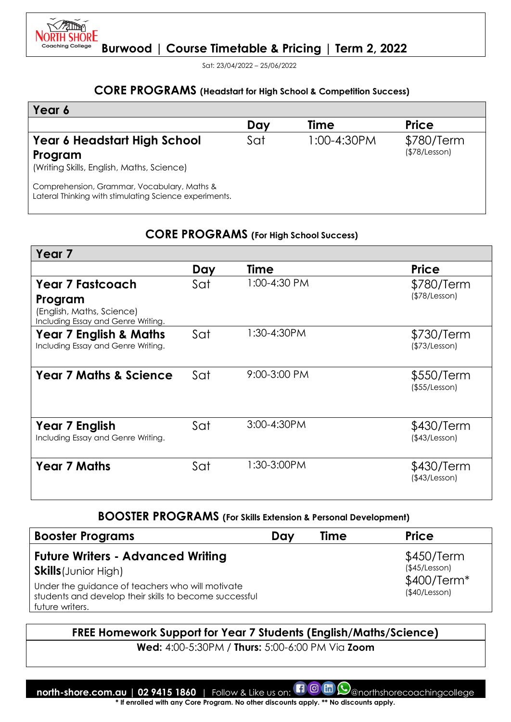

Sat: 23/04/2022 – 25/06/2022

## **CORE PROGRAMS (Headstart for High School & Competition Success)**

| Year 6                                                                                                |     |             |                             |
|-------------------------------------------------------------------------------------------------------|-----|-------------|-----------------------------|
|                                                                                                       | Day | Time        | <b>Price</b>                |
| Year 6 Headstart High School<br>Program<br>(Writing Skills, English, Maths, Science)                  | Sat | 1:00-4:30PM | \$780/Term<br>(\$78/Lesson) |
| Comprehension, Grammar, Vocabulary, Maths &<br>Lateral Thinking with stimulating Science experiments. |     |             |                             |

### **CORE PROGRAMS (For High School Success)**

| Year <sub>7</sub>                                               |     |              |                             |
|-----------------------------------------------------------------|-----|--------------|-----------------------------|
|                                                                 | Day | Time         | <b>Price</b>                |
| <b>Year 7 Fastcoach</b>                                         | Sat | 1:00-4:30 PM | \$780/Term                  |
| Program                                                         |     |              | (\$78/Lesson)               |
| (English, Maths, Science)<br>Including Essay and Genre Writing. |     |              |                             |
| <b>Year 7 English &amp; Maths</b>                               | Sat | 1:30-4:30PM  | \$730/Term                  |
| Including Essay and Genre Writing.                              |     |              | (\$73/Lesson)               |
| <b>Year 7 Maths &amp; Science</b>                               | Sat | 9:00-3:00 PM | \$550/Term                  |
|                                                                 |     |              | (\$55/Lesson)               |
|                                                                 |     |              |                             |
| Year 7 English                                                  | Sat | 3:00-4:30PM  | \$430/Term                  |
| Including Essay and Genre Writing.                              |     |              | (\$43/Lesson)               |
|                                                                 |     |              |                             |
| <b>Year 7 Maths</b>                                             | Sat | 1:30-3:00PM  | \$430/Term<br>(\$43/Lesson) |
|                                                                 |     |              |                             |

# **BOOSTER PROGRAMS (For Skills Extension & Personal Development)**

| <b>Booster Programs</b>                                                                                                       | Dav | <b>Time</b> | <b>Price</b>                                |
|-------------------------------------------------------------------------------------------------------------------------------|-----|-------------|---------------------------------------------|
| <b>Future Writers - Advanced Writing</b><br><b>Skills</b> (Junior High)                                                       |     |             | \$450/Term<br>(\$45/Lesson)<br>$$400/Term*$ |
| Under the guidance of teachers who will motivate<br>students and develop their skills to become successful<br>future writers. |     |             | (\$40/Lesson)                               |

### **FREE Homework Support for Year 7 Students (English/Maths/Science)**

**Wed:** 4:00-5:30PM / **Thurs:** 5:00-6:00 PM Via **Zoom**

**north-shore.com.au | 02 9415 1860** | Follow & Like us on: **[1 0 m**  $\odot$  anorthshorecoachingcollege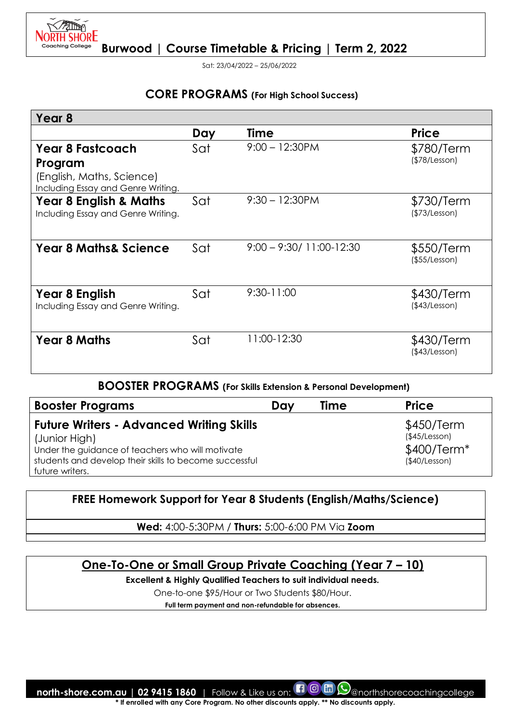

Sat: 23/04/2022 – 25/06/2022

## **CORE PROGRAMS (For High School Success)**

| Year 8                                                          |     |                             |                             |
|-----------------------------------------------------------------|-----|-----------------------------|-----------------------------|
|                                                                 | Day | Time                        | <b>Price</b>                |
| <b>Year 8 Fastcoach</b>                                         | Sat | $9:00 - 12:30PM$            | \$780/Term                  |
| Program                                                         |     |                             | (\$78/Lesson)               |
| (English, Maths, Science)<br>Including Essay and Genre Writing. |     |                             |                             |
| <b>Year 8 English &amp; Maths</b>                               | Sat | $9:30 - 12:30$ PM           | \$730/Term                  |
| Including Essay and Genre Writing.                              |     |                             | (\$73/Lesson)               |
| <b>Year 8 Maths&amp; Science</b>                                | Sat | $9:00 - 9:30/11:00 - 12:30$ | \$550/Term<br>(\$55/Lesson) |
| Year 8 English<br>Including Essay and Genre Writing.            | Sat | $9:30 - 11:00$              | \$430/Term<br>(\$43/Lesson) |
| <b>Year 8 Maths</b>                                             | Sat | 11:00-12:30                 | \$430/Term<br>(\$43/Lesson) |

#### **BOOSTER PROGRAMS (For Skills Extension & Personal Development)**

| <b>Booster Programs</b>                                                                                                                                                                           | Dav | <b>Time</b> | <b>Price</b>                                                |
|---------------------------------------------------------------------------------------------------------------------------------------------------------------------------------------------------|-----|-------------|-------------------------------------------------------------|
| <b>Future Writers - Advanced Writing Skills</b><br>(Junior High)<br>Under the guidance of teachers who will motivate<br>students and develop their skills to become successful<br>future writers. |     |             | \$450/Term<br>(\$45/Lesson)<br>\$400/Term*<br>(\$40/Lesson) |

### **FREE Homework Support for Year 8 Students (English/Maths/Science)**

**Wed:** 4:00-5:30PM / **Thurs:** 5:00-6:00 PM Via **Zoom**

# **One-To-One or Small Group Private Coaching (Year 7 – 10)**

**Excellent & Highly Qualified Teachers to suit individual needs.** 

One-to-one \$95/Hour or Two Students \$80/Hour.

**Full term payment and non-refundable for absences.**

**north-shore.com.au | 02 9415 1860** | Follow & Like us on: **[1] @ mothshorecoachingcollege**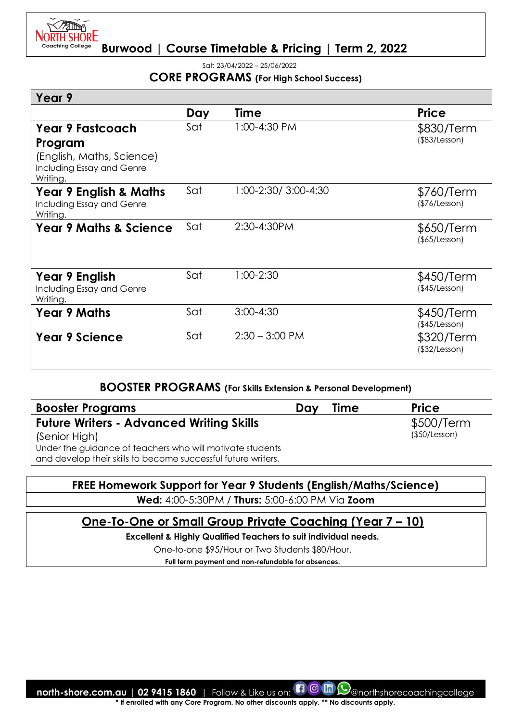

Sat: 23/04/2022 – 25/06/2022

#### **CORE PROGRAMS (For High School Success)**

| Year 9                                                                     |     |                      |                                   |
|----------------------------------------------------------------------------|-----|----------------------|-----------------------------------|
|                                                                            | Day | <b>Time</b>          | <b>Price</b>                      |
| Year 9 Fastcoach                                                           | Sat | 1:00-4:30 PM         | \$830/Term                        |
| Program                                                                    |     |                      | $($ \$83/Lesson $)$               |
| (English, Maths, Science)<br>Including Essay and Genre<br>Writing.         |     |                      |                                   |
| <b>Year 9 English &amp; Maths</b><br>Including Essay and Genre<br>Writing. | Sat | 1:00-2:30/ 3:00-4:30 | \$760/Term<br>(\$76/Lesson)       |
| <b>Year 9 Maths &amp; Science</b>                                          | Sat | 2:30-4:30PM          | \$650/Term<br>$($ \$65/Lesson $)$ |
| Year 9 English<br>Including Essay and Genre<br>Writing.                    | Sat | 1:00-2:30            | \$450/Term<br>(\$45/Lesson)       |
| <b>Year 9 Maths</b>                                                        | Sat | $3:00 - 4:30$        | \$450/Term<br>(\$45/Lesson)       |
| <b>Year 9 Science</b>                                                      | Sat | $2:30 - 3:00$ PM     | \$320/Term<br>(\$32/Lesson)       |

## **BOOSTER PROGRAMS (For Skills Extension & Personal Development)**

| <b>Booster Programs</b>                                       | Dav | <b>Time</b> | <b>Price</b>  |
|---------------------------------------------------------------|-----|-------------|---------------|
| <b>Future Writers - Advanced Writing Skills</b>               |     |             | \$500/Term    |
| (Senior High)                                                 |     |             | (\$50/Lesson) |
| Under the guidance of teachers who will motivate students     |     |             |               |
| and develop their skills to become successful future writers. |     |             |               |

# **FREE Homework Support for Year 9 Students (English/Maths/Science)**

**Wed:** 4:00-5:30PM / **Thurs:** 5:00-6:00 PM Via **Zoom**

# **One-To-One or Small Group Private Coaching (Year 7 – 10)**

**Excellent & Highly Qualified Teachers to suit individual needs.** 

One-to-one \$95/Hour or Two Students \$80/Hour.

**Full term payment and non-refundable for absences.**

**north-shore.com.au | 02 9415 1860** | Follow & Like us on:  $\Box$  @ morthshorecoachingcollege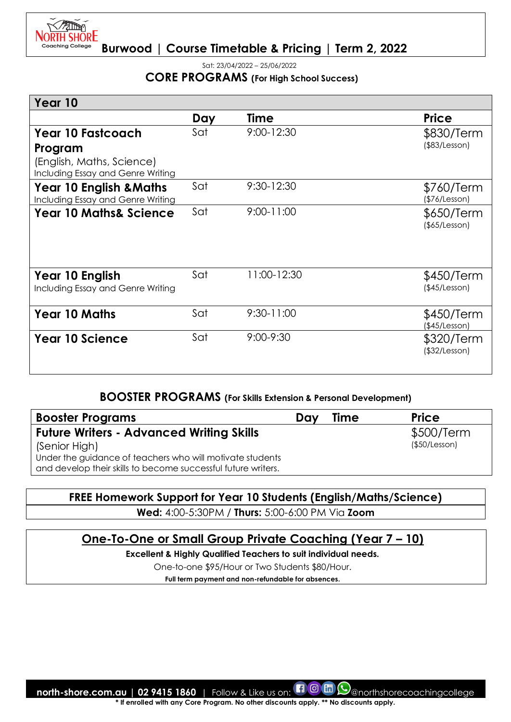

Sat: 23/04/2022 – 25/06/2022

#### **CORE PROGRAMS (For High School Success)**

| Year 10                                                                 |     |                |                                   |
|-------------------------------------------------------------------------|-----|----------------|-----------------------------------|
|                                                                         | Day | Time           | <b>Price</b>                      |
| Year 10 Fastcoach                                                       | Sat | $9:00 - 12:30$ | \$830/Term                        |
| Program                                                                 |     |                | $($ \$83/Lesson $)$               |
| (English, Maths, Science)<br>Including Essay and Genre Writing          |     |                |                                   |
| <b>Year 10 English &amp; Maths</b><br>Including Essay and Genre Writing | Sat | 9:30-12:30     | \$760/Term<br>(\$76/Lesson)       |
| <b>Year 10 Maths&amp; Science</b>                                       | Sat | 9:00-11:00     | \$650/Term<br>$($ \$65/Lesson $)$ |
| Year 10 English<br>Including Essay and Genre Writing                    | Sat | 11:00-12:30    | \$450/Term<br>(\$45/Lesson)       |
| <b>Year 10 Maths</b>                                                    | Sat | $9:30 - 11:00$ | \$450/Term<br>(\$45/Lesson)       |
| <b>Year 10 Science</b>                                                  | Sat | 9:00-9:30      | \$320/Term<br>(\$32/Lesson)       |

## **BOOSTER PROGRAMS (For Skills Extension & Personal Development)**

| <b>Booster Programs</b>                                                                                                    | Dav | <b>Time</b> | <b>Price</b>  |
|----------------------------------------------------------------------------------------------------------------------------|-----|-------------|---------------|
| <b>Future Writers - Advanced Writing Skills</b>                                                                            |     |             | \$500/Term    |
| (Senior High)                                                                                                              |     |             | (\$50/Lesson) |
| Under the guidance of teachers who will motivate students<br>and develop their skills to become successful future writers. |     |             |               |

### **FREE Homework Support for Year 10 Students (English/Maths/Science)**

**Wed:** 4:00-5:30PM / **Thurs:** 5:00-6:00 PM Via **Zoom**

# **One-To-One or Small Group Private Coaching (Year 7 – 10)**

**Excellent & Highly Qualified Teachers to suit individual needs.** 

One-to-one \$95/Hour or Two Students \$80/Hour.

**Full term payment and non-refundable for absences.**

**north-shore.com.au | 02 9415 1860** | Follow & Like us on: **[1] @ mothshorecoachingcollege**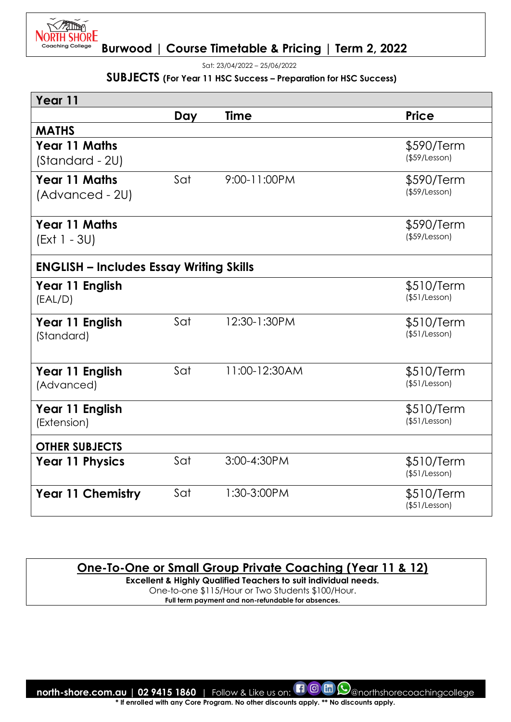

Sat: 23/04/2022 – 25/06/2022

#### **SUBJECTS (For Year 11 HSC Success – Preparation for HSC Success)**

| Year 11                                        |     |               |                                   |
|------------------------------------------------|-----|---------------|-----------------------------------|
|                                                | Day | <b>Time</b>   | <b>Price</b>                      |
| <b>MATHS</b>                                   |     |               |                                   |
| <b>Year 11 Maths</b><br>(Standard - 2U)        |     |               | \$590/Term<br>$($ \$59/Lesson $)$ |
| <b>Year 11 Maths</b><br>(Advanced - 2U)        | Sat | 9:00-11:00PM  | \$590/Term<br>$($ \$59/Lesson $)$ |
| <b>Year 11 Maths</b><br>(Ext 1 - 3U)           |     |               | \$590/Term<br>$($ \$59/Lesson $)$ |
| <b>ENGLISH - Includes Essay Writing Skills</b> |     |               |                                   |
| Year 11 English<br>(EAL/D)                     |     |               | \$510/Term<br>(\$51/Lesson)       |
| Year 11 English<br>(Standard)                  | Sat | 12:30-1:30PM  | \$510/Term<br>(\$51/Lesson)       |
| Year 11 English<br>(Advanced)                  | Sat | 11:00-12:30AM | \$510/Term<br>$($ \$51/Lesson $)$ |
| Year 11 English<br>(Extension)                 |     |               | \$510/Term<br>$($ \$51/Lesson $)$ |
| <b>OTHER SUBJECTS</b>                          |     |               |                                   |
| <b>Year 11 Physics</b>                         | Sat | 3:00-4:30PM   | \$510/Term<br>$($ \$51/Lesson $)$ |
| <b>Year 11 Chemistry</b>                       | Sat | 1:30-3:00PM   | \$510/Term<br>$($ \$51/Lesson $)$ |

# **One-To-One or Small Group Private Coaching (Year 11 & 12)**

**Excellent & Highly Qualified Teachers to suit individual needs.**  One-to-one \$115/Hour or Two Students \$100/Hour.

**Full term payment and non-refundable for absences.**

**north-shore.com.au | 02 9415 1860** | Follow & Like us on:  $\Box$  @ morthshorecoachingcollege